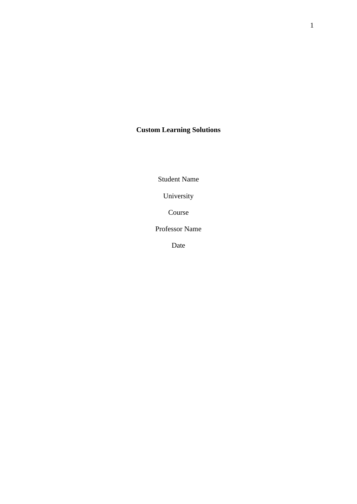# **Custom Learning Solutions**

Student Name

University

Course

Professor Name

Date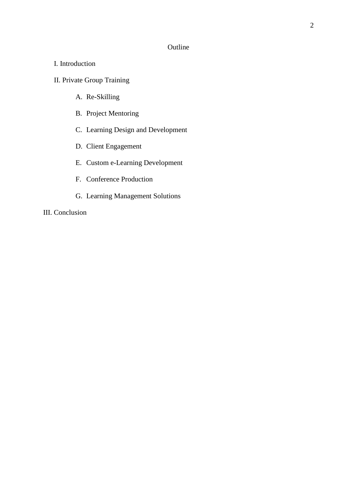### Outline

## I. Introduction

# II. Private Group Training

- A. Re-Skilling
- B. Project Mentoring
- C. Learning Design and Development
- D. Client Engagement
- E. Custom e-Learning Development
- F. Conference Production
- G. Learning Management Solutions

## III. Conclusion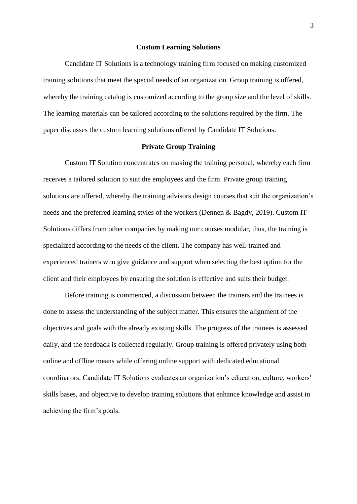#### **Custom Learning Solutions**

Candidate IT Solutions is a technology training firm focused on making customized training solutions that meet the special needs of an organization. Group training is offered, whereby the training catalog is customized according to the group size and the level of skills. The learning materials can be tailored according to the solutions required by the firm. The paper discusses the custom learning solutions offered by Candidate IT Solutions.

#### **Private Group Training**

Custom IT Solution concentrates on making the training personal, whereby each firm receives a tailored solution to suit the employees and the firm. Private group training solutions are offered, whereby the training advisors design courses that suit the organization's needs and the preferred learning styles of the workers (Dennen & Bagdy, 2019). Custom IT Solutions differs from other companies by making our courses modular, thus, the training is specialized according to the needs of the client. The company has well-trained and experienced trainers who give guidance and support when selecting the best option for the client and their employees by ensuring the solution is effective and suits their budget.

Before training is commenced, a discussion between the trainers and the trainees is done to assess the understanding of the subject matter. This ensures the alignment of the objectives and goals with the already existing skills. The progress of the trainees is assessed daily, and the feedback is collected regularly. Group training is offered privately using both online and offline means while offering online support with dedicated educational coordinators. Candidate IT Solutions evaluates an organization's education, culture, workers' skills bases, and objective to develop training solutions that enhance knowledge and assist in achieving the firm's goals.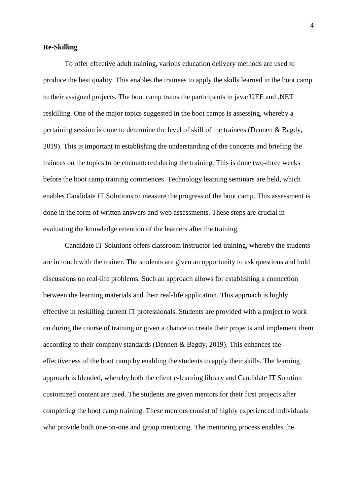#### **Re-Skilling**

To offer effective adult training, various education delivery methods are used to produce the best quality. This enables the trainees to apply the skills learned in the boot camp to their assigned projects. The boot camp trains the participants in java/J2EE and .NET reskilling. One of the major topics suggested in the boot camps is assessing, whereby a pertaining session is done to determine the level of skill of the trainees (Dennen & Bagdy, 2019). This is important in establishing the understanding of the concepts and briefing the trainees on the topics to be encountered during the training. This is done two-three weeks before the boot camp training commences. Technology learning seminars are held, which enables Candidate IT Solutions to measure the progress of the boot camp. This assessment is done in the form of written answers and web assessments. These steps are crucial in evaluating the knowledge retention of the learners after the training.

Candidate IT Solutions offers classroom instructor-led training, whereby the students are in touch with the trainer. The students are given an opportunity to ask questions and hold discussions on real-life problems. Such an approach allows for establishing a connection between the learning materials and their real-life application. This approach is highly effective in reskilling current IT professionals. Students are provided with a project to work on during the course of training or given a chance to create their projects and implement them according to their company standards (Dennen & Bagdy, 2019). This enhances the effectiveness of the boot camp by enabling the students to apply their skills. The learning approach is blended, whereby both the client e-learning library and Candidate IT Solution customized content are used. The students are given mentors for their first projects after completing the boot camp training. These mentors consist of highly experienced individuals who provide both one-on-one and group mentoring. The mentoring process enables the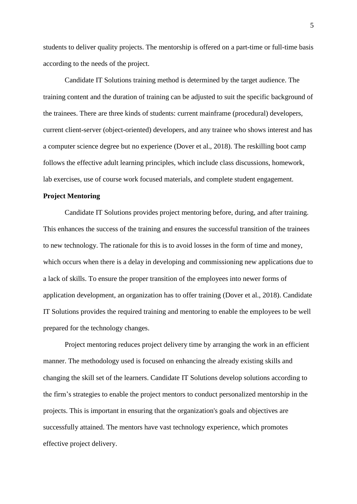students to deliver quality projects. The mentorship is offered on a part-time or full-time basis according to the needs of the project.

Candidate IT Solutions training method is determined by the target audience. The training content and the duration of training can be adjusted to suit the specific background of the trainees. There are three kinds of students: current mainframe (procedural) developers, current client-server (object-oriented) developers, and any trainee who shows interest and has a computer science degree but no experience (Dover et al., 2018). The reskilling boot camp follows the effective adult learning principles, which include class discussions, homework, lab exercises, use of course work focused materials, and complete student engagement.

#### **Project Mentoring**

Candidate IT Solutions provides project mentoring before, during, and after training. This enhances the success of the training and ensures the successful transition of the trainees to new technology. The rationale for this is to avoid losses in the form of time and money, which occurs when there is a delay in developing and commissioning new applications due to a lack of skills. To ensure the proper transition of the employees into newer forms of application development, an organization has to offer training (Dover et al., 2018). Candidate IT Solutions provides the required training and mentoring to enable the employees to be well prepared for the technology changes.

Project mentoring reduces project delivery time by arranging the work in an efficient manner. The methodology used is focused on enhancing the already existing skills and changing the skill set of the learners. Candidate IT Solutions develop solutions according to the firm's strategies to enable the project mentors to conduct personalized mentorship in the projects. This is important in ensuring that the organization's goals and objectives are successfully attained. The mentors have vast technology experience, which promotes effective project delivery.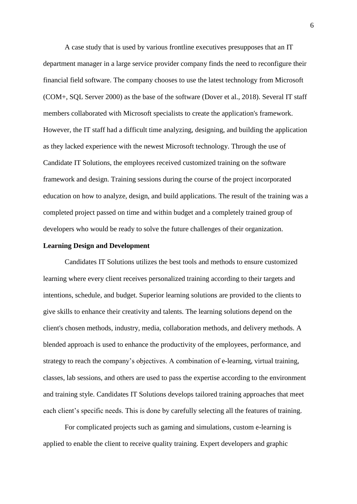A case study that is used by various frontline executives presupposes that an IT department manager in a large service provider company finds the need to reconfigure their financial field software. The company chooses to use the latest technology from Microsoft (COM+, SQL Server 2000) as the base of the software (Dover et al., 2018). Several IT staff members collaborated with Microsoft specialists to create the application's framework. However, the IT staff had a difficult time analyzing, designing, and building the application as they lacked experience with the newest Microsoft technology. Through the use of Candidate IT Solutions, the employees received customized training on the software framework and design. Training sessions during the course of the project incorporated education on how to analyze, design, and build applications. The result of the training was a completed project passed on time and within budget and a completely trained group of developers who would be ready to solve the future challenges of their organization.

#### **Learning Design and Development**

Candidates IT Solutions utilizes the best tools and methods to ensure customized learning where every client receives personalized training according to their targets and intentions, schedule, and budget. Superior learning solutions are provided to the clients to give skills to enhance their creativity and talents. The learning solutions depend on the client's chosen methods, industry, media, collaboration methods, and delivery methods. A blended approach is used to enhance the productivity of the employees, performance, and strategy to reach the company's objectives. A combination of e-learning, virtual training, classes, lab sessions, and others are used to pass the expertise according to the environment and training style. Candidates IT Solutions develops tailored training approaches that meet each client's specific needs. This is done by carefully selecting all the features of training.

For complicated projects such as gaming and simulations, custom e-learning is applied to enable the client to receive quality training. Expert developers and graphic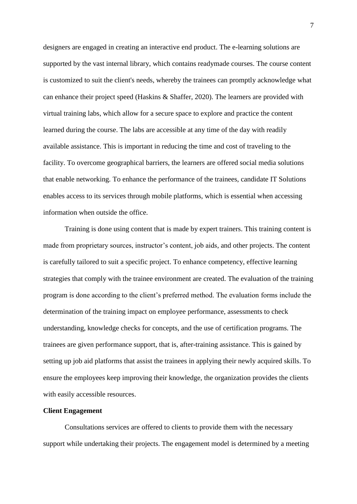designers are engaged in creating an interactive end product. The e-learning solutions are supported by the vast internal library, which contains readymade courses. The course content is customized to suit the client's needs, whereby the trainees can promptly acknowledge what can enhance their project speed (Haskins & Shaffer, 2020). The learners are provided with virtual training labs, which allow for a secure space to explore and practice the content learned during the course. The labs are accessible at any time of the day with readily available assistance. This is important in reducing the time and cost of traveling to the facility. To overcome geographical barriers, the learners are offered social media solutions that enable networking. To enhance the performance of the trainees, candidate IT Solutions enables access to its services through mobile platforms, which is essential when accessing information when outside the office.

Training is done using content that is made by expert trainers. This training content is made from proprietary sources, instructor's content, job aids, and other projects. The content is carefully tailored to suit a specific project. To enhance competency, effective learning strategies that comply with the trainee environment are created. The evaluation of the training program is done according to the client's preferred method. The evaluation forms include the determination of the training impact on employee performance, assessments to check understanding, knowledge checks for concepts, and the use of certification programs. The trainees are given performance support, that is, after-training assistance. This is gained by setting up job aid platforms that assist the trainees in applying their newly acquired skills. To ensure the employees keep improving their knowledge, the organization provides the clients with easily accessible resources.

### **Client Engagement**

Consultations services are offered to clients to provide them with the necessary support while undertaking their projects. The engagement model is determined by a meeting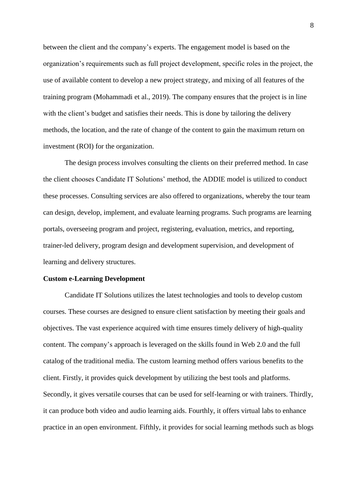between the client and the company's experts. The engagement model is based on the organization's requirements such as full project development, specific roles in the project, the use of available content to develop a new project strategy, and mixing of all features of the training program (Mohammadi et al., 2019). The company ensures that the project is in line with the client's budget and satisfies their needs. This is done by tailoring the delivery methods, the location, and the rate of change of the content to gain the maximum return on investment (ROI) for the organization.

The design process involves consulting the clients on their preferred method. In case the client chooses Candidate IT Solutions' method, the ADDIE model is utilized to conduct these processes. Consulting services are also offered to organizations, whereby the tour team can design, develop, implement, and evaluate learning programs. Such programs are learning portals, overseeing program and project, registering, evaluation, metrics, and reporting, trainer-led delivery, program design and development supervision, and development of learning and delivery structures.

#### **Custom e-Learning Development**

Candidate IT Solutions utilizes the latest technologies and tools to develop custom courses. These courses are designed to ensure client satisfaction by meeting their goals and objectives. The vast experience acquired with time ensures timely delivery of high-quality content. The company's approach is leveraged on the skills found in Web 2.0 and the full catalog of the traditional media. The custom learning method offers various benefits to the client. Firstly, it provides quick development by utilizing the best tools and platforms. Secondly, it gives versatile courses that can be used for self-learning or with trainers. Thirdly, it can produce both video and audio learning aids. Fourthly, it offers virtual labs to enhance practice in an open environment. Fifthly, it provides for social learning methods such as blogs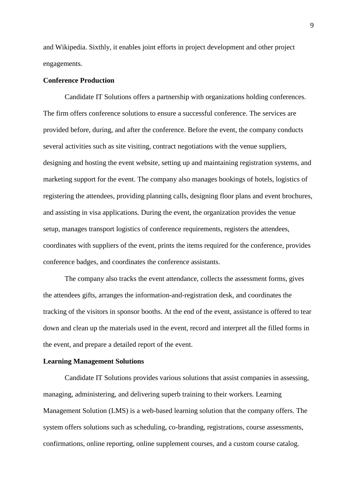and Wikipedia. Sixthly, it enables joint efforts in project development and other project engagements.

#### **Conference Production**

Candidate IT Solutions offers a partnership with organizations holding conferences. The firm offers conference solutions to ensure a successful conference. The services are provided before, during, and after the conference. Before the event, the company conducts several activities such as site visiting, contract negotiations with the venue suppliers, designing and hosting the event website, setting up and maintaining registration systems, and marketing support for the event. The company also manages bookings of hotels, logistics of registering the attendees, providing planning calls, designing floor plans and event brochures, and assisting in visa applications. During the event, the organization provides the venue setup, manages transport logistics of conference requirements, registers the attendees, coordinates with suppliers of the event, prints the items required for the conference, provides conference badges, and coordinates the conference assistants.

The company also tracks the event attendance, collects the assessment forms, gives the attendees gifts, arranges the information-and-registration desk, and coordinates the tracking of the visitors in sponsor booths. At the end of the event, assistance is offered to tear down and clean up the materials used in the event, record and interpret all the filled forms in the event, and prepare a detailed report of the event.

#### **Learning Management Solutions**

Candidate IT Solutions provides various solutions that assist companies in assessing, managing, administering, and delivering superb training to their workers. Learning Management Solution (LMS) is a web-based learning solution that the company offers. The system offers solutions such as scheduling, co-branding, registrations, course assessments, confirmations, online reporting, online supplement courses, and a custom course catalog.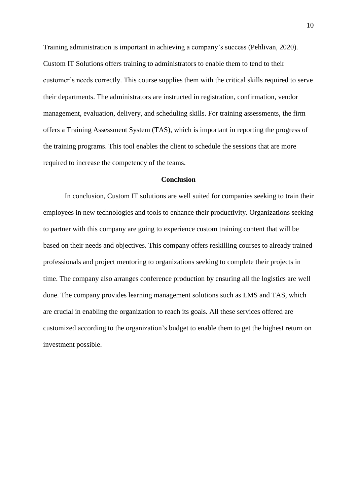Training administration is important in achieving a company's success (Pehlivan, 2020). Custom IT Solutions offers training to administrators to enable them to tend to their customer's needs correctly. This course supplies them with the critical skills required to serve their departments. The administrators are instructed in registration, confirmation, vendor management, evaluation, delivery, and scheduling skills. For training assessments, the firm offers a Training Assessment System (TAS), which is important in reporting the progress of the training programs. This tool enables the client to schedule the sessions that are more required to increase the competency of the teams.

#### **Conclusion**

In conclusion, Custom IT solutions are well suited for companies seeking to train their employees in new technologies and tools to enhance their productivity. Organizations seeking to partner with this company are going to experience custom training content that will be based on their needs and objectives. This company offers reskilling courses to already trained professionals and project mentoring to organizations seeking to complete their projects in time. The company also arranges conference production by ensuring all the logistics are well done. The company provides learning management solutions such as LMS and TAS, which are crucial in enabling the organization to reach its goals. All these services offered are customized according to the organization's budget to enable them to get the highest return on investment possible.